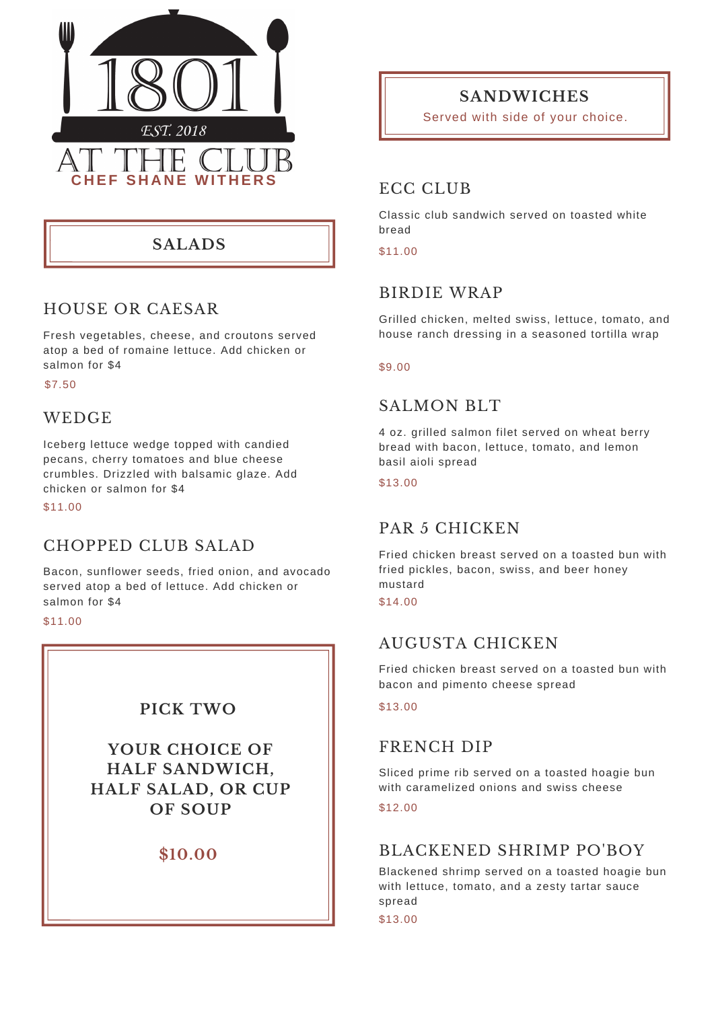

# **SALADS**

# HOUSE OR CAESAR

Fresh vegetables, cheese, and croutons served atop a bed of romaine lettuce. Add chicken or salmon for \$4

\$7.50

### WEDGE

Iceberg lettuce wedge topped with candied pecans, cherry tomatoes and blue cheese crumbles. Drizzled with balsamic glaze. Add chicken or salmon for \$4

\$11.00

# CHOPPED CLUB SALAD

Bacon, sunflower seeds, fried onion, and avocado served atop a bed of lettuce. Add chicken or salmon for \$4

\$11.00

#### **PICK TWO**

**YOUR CHOICE OF HALF SANDWICH, HALF SALAD, OR CUP OF SOUP**

### **\$10.00**

**SANDWICHES**

Served with side of your choice.

# ECC CLUB

Classic club sandwich served on toasted white bread

\$11.00

#### BIRDIE WRAP

Grilled chicken, melted swiss, lettuce, tomato, and house ranch dressing in a seasoned tortilla wrap

\$9.00

### SALMON BLT

4 oz. grilled salmon filet served on wheat berry bread with bacon, lettuce, tomato, and lemon basil aioli spread

#### \$13.00

# PAR 5 CHICKEN

Fried chicken breast served on a toasted bun with fried pickles, bacon, swiss, and beer honey mustard

\$14.00

### AUGUSTA CHICKEN

Fried chicken breast served on a toasted bun with bacon and pimento cheese spread

\$13.00

## FRENCH DIP

Sliced prime rib served on a toasted hoagie bun with caramelized onions and swiss cheese

\$12.00

# BLACKENED SHRIMP PO'BOY

Blackened shrimp served on a toasted hoagie bun with lettuce, tomato, and a zesty tartar sauce spread

\$13.00